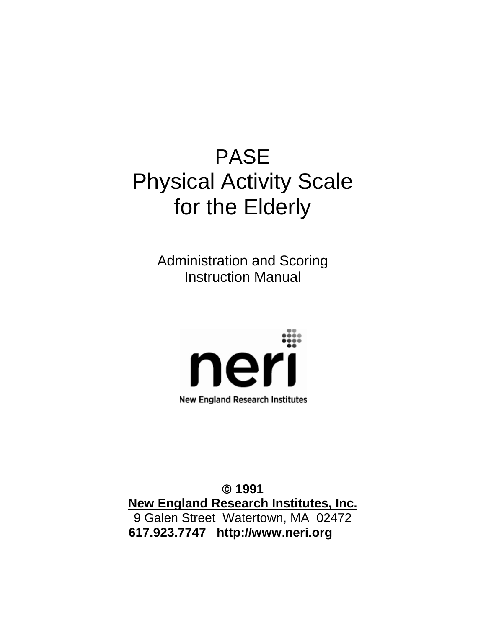# PASE Physical Activity Scale for the Elderly

Administration and Scoring Instruction Manual



 **1991 New England Research Institutes, Inc.** 9 Galen Street Watertown, MA 02472 **617.923.7747 http://www.neri.org**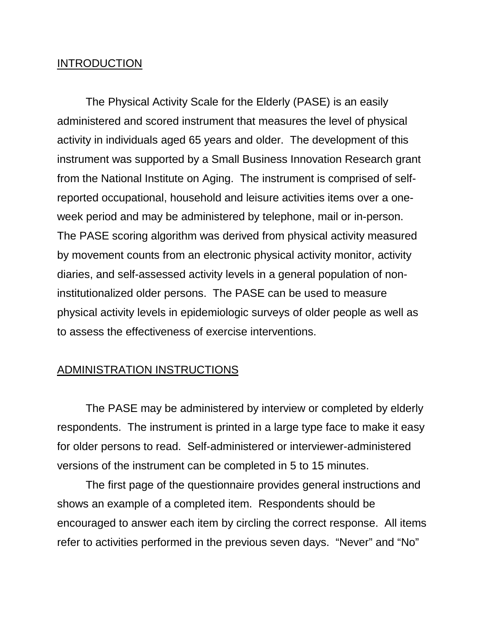### INTRODUCTION

The Physical Activity Scale for the Elderly (PASE) is an easily administered and scored instrument that measures the level of physical activity in individuals aged 65 years and older. The development of this instrument was supported by a Small Business Innovation Research grant from the National Institute on Aging. The instrument is comprised of selfreported occupational, household and leisure activities items over a oneweek period and may be administered by telephone, mail or in-person. The PASE scoring algorithm was derived from physical activity measured by movement counts from an electronic physical activity monitor, activity diaries, and self-assessed activity levels in a general population of noninstitutionalized older persons. The PASE can be used to measure physical activity levels in epidemiologic surveys of older people as well as to assess the effectiveness of exercise interventions.

# ADMINISTRATION INSTRUCTIONS

The PASE may be administered by interview or completed by elderly respondents. The instrument is printed in a large type face to make it easy for older persons to read. Self-administered or interviewer-administered versions of the instrument can be completed in 5 to 15 minutes.

The first page of the questionnaire provides general instructions and shows an example of a completed item. Respondents should be encouraged to answer each item by circling the correct response. All items refer to activities performed in the previous seven days. "Never" and "No"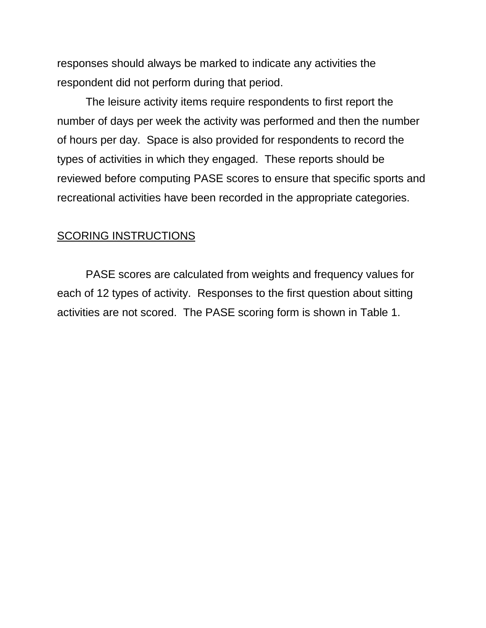responses should always be marked to indicate any activities the respondent did not perform during that period.

The leisure activity items require respondents to first report the number of days per week the activity was performed and then the number of hours per day. Space is also provided for respondents to record the types of activities in which they engaged. These reports should be reviewed before computing PASE scores to ensure that specific sports and recreational activities have been recorded in the appropriate categories.

### **SCORING INSTRUCTIONS**

PASE scores are calculated from weights and frequency values for each of 12 types of activity. Responses to the first question about sitting activities are not scored. The PASE scoring form is shown in Table 1.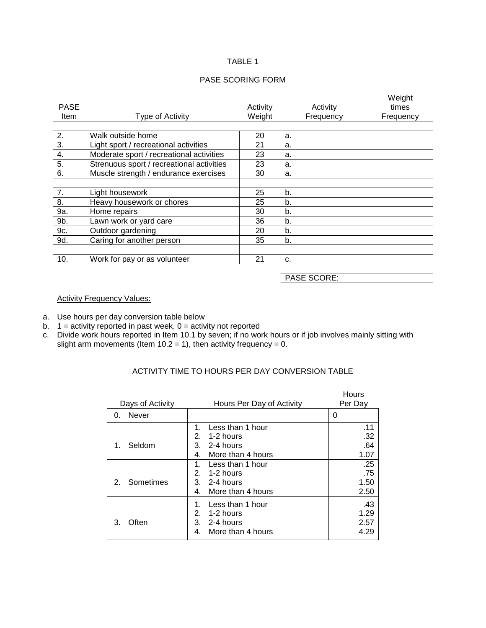#### TABLE 1

#### PASE<br>Item Type of Activity Activity Weight Activity Frequency Weight times Frequency 2. Walk outside home 20 a.<br>
20 a.<br>
21 a. 3. Light sport / recreational activities 21 a.<br>4. Moderate sport / recreational activities 23 a. 4. Moderate sport / recreational activities 23 a.<br>5. Strenuous sport / recreational activities 23 a. Strenuous sport / recreational activities | 23 a. 6. Muscle strength / endurance exercises 30 a. 7. Light housework<br>
8. Heavy housework or chores<br>
25 b. 8. Heavy housework or chores 25 b. 9a. Home repairs and the set of the set of the set of the set of the set of the set of the set of the set of the set of the set of the set of the set of the set of the set of the set of the set of the set of the set of the 9b. Lawn work or yard care 1988 36 b.<br>9c. Outdoor gardening 1988 30 b. 9c. Outdoor gardening<br>
9d. Caring for another person<br>
20 b. Caring for another person 1 35 b. 10. Work for pay or as volunteer 21 c.

#### PASE SCORING FORM

PASE SCORE:

#### Activity Frequency Values:

- a. Use hours per day conversion table below
- b.  $1 =$  activity reported in past week,  $0 =$  activity not reported
- c. Divide work hours reported in Item 10.1 by seven; if no work hours or if job involves mainly sitting with slight arm movements (Item 10.2 = 1), then activity frequency = 0.

| ACTIVITY TIME TO HOURS PER DAY CONVERSION TABLE |
|-------------------------------------------------|
|-------------------------------------------------|

|                  |                             | Hours<br>Per Day |
|------------------|-----------------------------|------------------|
| Days of Activity | Hours Per Day of Activity   |                  |
| Never<br>0.      |                             | 0                |
|                  | Less than 1 hour<br>1.      | .11              |
|                  | 1-2 hours<br>2.             | .32              |
| Seldom           | $3.2 - 4$ hours             | .64              |
|                  | More than 4 hours<br>4.     | 1.07             |
|                  | Less than 1 hour<br>1.      | .25              |
|                  | 2. $1-2$ hours              | .75              |
| Sometimes<br>2.  | $3.2 - 4$ hours             | 1.50             |
|                  | More than 4 hours<br>4.     | 2.50             |
|                  | 1. Less than 1 hour         | .43              |
|                  | 1-2 hours<br>2 <sup>1</sup> | 1.29             |
| Often<br>3       | $\mathcal{S}$<br>2-4 hours  | 2.57             |
|                  | More than 4 hours           | 4.29             |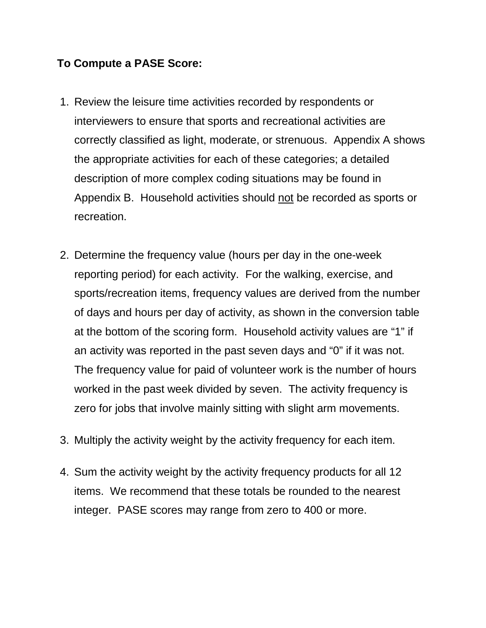# **To Compute a PASE Score:**

- 1. Review the leisure time activities recorded by respondents or interviewers to ensure that sports and recreational activities are correctly classified as light, moderate, or strenuous. Appendix A shows the appropriate activities for each of these categories; a detailed description of more complex coding situations may be found in Appendix B. Household activities should not be recorded as sports or recreation.
- 2. Determine the frequency value (hours per day in the one-week reporting period) for each activity. For the walking, exercise, and sports/recreation items, frequency values are derived from the number of days and hours per day of activity, as shown in the conversion table at the bottom of the scoring form. Household activity values are "1" if an activity was reported in the past seven days and "0" if it was not. The frequency value for paid of volunteer work is the number of hours worked in the past week divided by seven. The activity frequency is zero for jobs that involve mainly sitting with slight arm movements.
- 3. Multiply the activity weight by the activity frequency for each item.
- 4. Sum the activity weight by the activity frequency products for all 12 items. We recommend that these totals be rounded to the nearest integer. PASE scores may range from zero to 400 or more.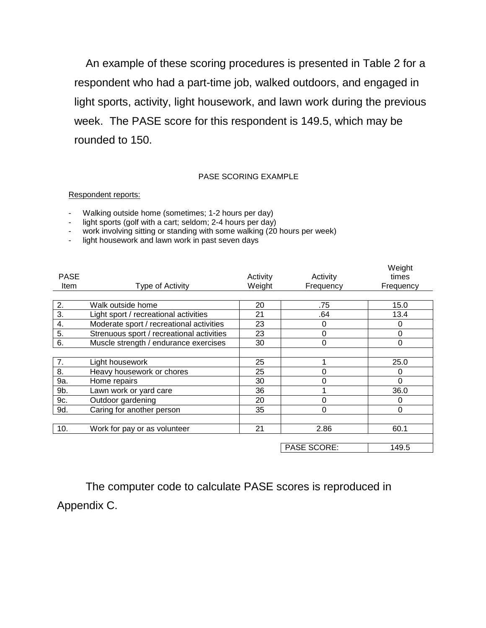An example of these scoring procedures is presented in Table 2 for a respondent who had a part-time job, walked outdoors, and engaged in light sports, activity, light housework, and lawn work during the previous week. The PASE score for this respondent is 149.5, which may be rounded to 150.

### PASE SCORING EXAMPLE

#### Respondent reports:

- Walking outside home (sometimes; 1-2 hours per day)
- light sports (golf with a cart; seldom; 2-4 hours per day)
- work involving sitting or standing with some walking (20 hours per week)
- light housework and lawn work in past seven days

|             |                                           |          |                    | Weight    |
|-------------|-------------------------------------------|----------|--------------------|-----------|
| <b>PASE</b> |                                           | Activity | Activity           | times     |
| Item        | Type of Activity                          | Weight   | Frequency          | Frequency |
|             |                                           |          |                    |           |
| 2.          | Walk outside home                         | 20       | .75                | 15.0      |
| 3.          | Light sport / recreational activities     | 21       | .64                | 13.4      |
| 4.          | Moderate sport / recreational activities  | 23       | 0                  | 0         |
| 5.          | Strenuous sport / recreational activities | 23       | 0                  | 0         |
| 6.          | Muscle strength / endurance exercises     | 30       | 0                  | 0         |
|             |                                           |          |                    |           |
| 7.          | Light housework                           | 25       |                    | 25.0      |
| 8.          | Heavy housework or chores                 | 25       | 0                  | 0         |
| 9a.         | Home repairs                              | 30       | 0                  | 0         |
| 9b.         | Lawn work or yard care                    | 36       |                    | 36.0      |
| 9c.         | Outdoor gardening                         | 20       | 0                  | 0         |
| 9d.         | Caring for another person                 | 35       | 0                  | 0         |
|             |                                           |          |                    |           |
| 10.         | Work for pay or as volunteer              | 21       | 2.86               | 60.1      |
|             |                                           |          |                    |           |
|             |                                           |          | <b>PASE SCORE:</b> | 149.5     |

The computer code to calculate PASE scores is reproduced in Appendix C.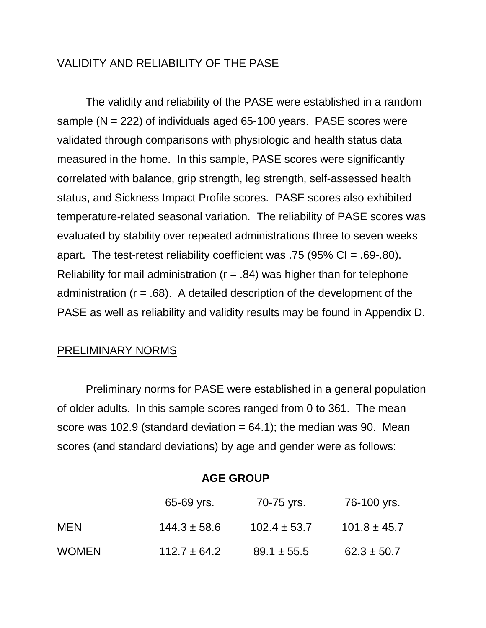### VALIDITY AND RELIABILITY OF THE PASE

The validity and reliability of the PASE were established in a random sample  $(N = 222)$  of individuals aged 65-100 years. PASE scores were validated through comparisons with physiologic and health status data measured in the home. In this sample, PASE scores were significantly correlated with balance, grip strength, leg strength, self-assessed health status, and Sickness Impact Profile scores. PASE scores also exhibited temperature-related seasonal variation. The reliability of PASE scores was evaluated by stability over repeated administrations three to seven weeks apart. The test-retest reliability coefficient was .75 (95% CI = .69-.80). Reliability for mail administration ( $r = .84$ ) was higher than for telephone administration  $(r = .68)$ . A detailed description of the development of the PASE as well as reliability and validity results may be found in Appendix D.

### PRELIMINARY NORMS

Preliminary norms for PASE were established in a general population of older adults. In this sample scores ranged from 0 to 361. The mean score was 102.9 (standard deviation  $= 64.1$ ); the median was 90. Mean scores (and standard deviations) by age and gender were as follows:

### **AGE GROUP**

|              | $65 - 69$ yrs.   | 70-75 yrs.       | 76-100 yrs.      |
|--------------|------------------|------------------|------------------|
| <b>MEN</b>   | $144.3 \pm 58.6$ | $102.4 \pm 53.7$ | $101.8 \pm 45.7$ |
| <b>WOMEN</b> | $112.7 \pm 64.2$ | $89.1 \pm 55.5$  | $62.3 \pm 50.7$  |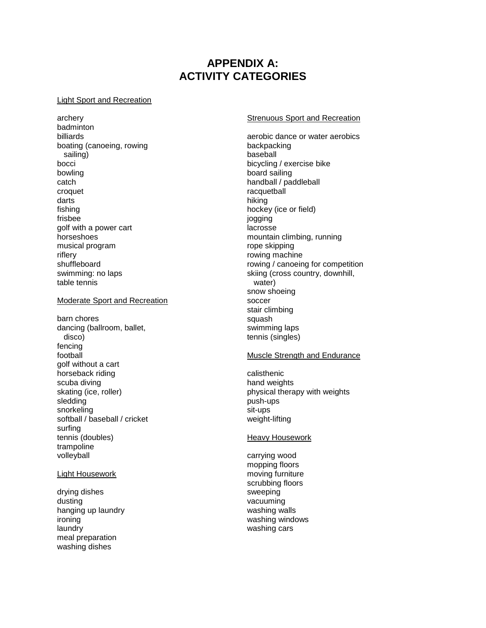# **APPENDIX A: ACTIVITY CATEGORIES**

#### Light Sport and Recreation

archery badminton billiards boating (canoeing, rowing sailing) bocci bowling catch croquet darts fishing frisbee golf with a power cart horseshoes musical program riflery shuffleboard swimming: no laps table tennis

#### Moderate Sport and Recreation

barn chores dancing (ballroom, ballet, disco) fencing football golf without a cart horseback riding scuba diving skating (ice, roller) sledding snorkeling softball / baseball / cricket surfing tennis (doubles) trampoline volleyball

#### Light Housework

drying dishes dusting hanging up laundry ironing laundry meal preparation washing dishes

#### Strenuous Sport and Recreation

aerobic dance or water aerobics backpacking baseball bicycling / exercise bike board sailing handball / paddleball racquetball hiking hockey (ice or field) jogging lacrosse mountain climbing, running rope skipping rowing machine rowing / canoeing for competition skiing (cross country, downhill, water) snow shoeing soccer stair climbing squash swimming laps tennis (singles)

#### Muscle Strength and Endurance

calisthenic hand weights physical therapy with weights push-ups sit-ups weight-lifting

#### Heavy Housework

carrying wood mopping floors moving furniture scrubbing floors sweeping vacuuming washing walls washing windows washing cars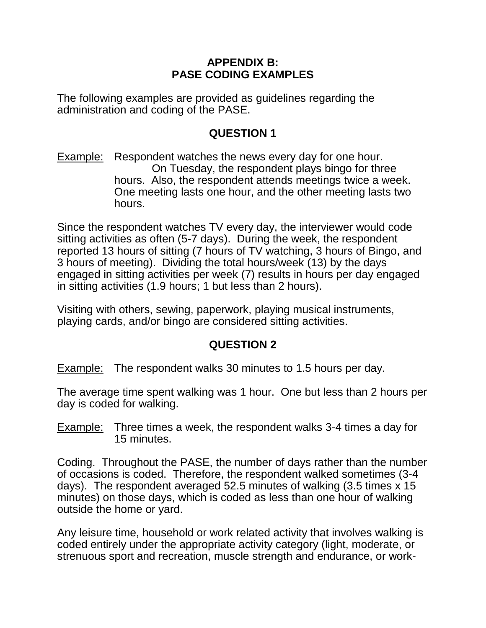### **APPENDIX B: PASE CODING EXAMPLES**

The following examples are provided as guidelines regarding the administration and coding of the PASE.

### **QUESTION 1**

Example: Respondent watches the news every day for one hour. On Tuesday, the respondent plays bingo for three hours. Also, the respondent attends meetings twice a week. One meeting lasts one hour, and the other meeting lasts two hours.

Since the respondent watches TV every day, the interviewer would code sitting activities as often (5-7 days). During the week, the respondent reported 13 hours of sitting (7 hours of TV watching, 3 hours of Bingo, and 3 hours of meeting). Dividing the total hours/week (13) by the days engaged in sitting activities per week (7) results in hours per day engaged in sitting activities (1.9 hours; 1 but less than 2 hours).

Visiting with others, sewing, paperwork, playing musical instruments, playing cards, and/or bingo are considered sitting activities.

# **QUESTION 2**

Example: The respondent walks 30 minutes to 1.5 hours per day.

The average time spent walking was 1 hour. One but less than 2 hours per day is coded for walking.

Example: Three times a week, the respondent walks 3-4 times a day for 15 minutes.

Coding. Throughout the PASE, the number of days rather than the number of occasions is coded. Therefore, the respondent walked sometimes (3-4 days). The respondent averaged 52.5 minutes of walking (3.5 times x 15 minutes) on those days, which is coded as less than one hour of walking outside the home or yard.

Any leisure time, household or work related activity that involves walking is coded entirely under the appropriate activity category (light, moderate, or strenuous sport and recreation, muscle strength and endurance, or work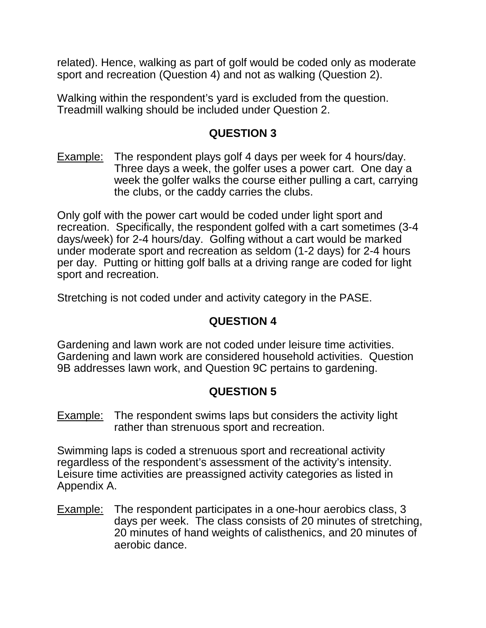related). Hence, walking as part of golf would be coded only as moderate sport and recreation (Question 4) and not as walking (Question 2).

Walking within the respondent's yard is excluded from the question. Treadmill walking should be included under Question 2.

### **QUESTION 3**

Example: The respondent plays golf 4 days per week for 4 hours/day. Three days a week, the golfer uses a power cart. One day a week the golfer walks the course either pulling a cart, carrying the clubs, or the caddy carries the clubs.

Only golf with the power cart would be coded under light sport and recreation. Specifically, the respondent golfed with a cart sometimes (3-4 days/week) for 2-4 hours/day. Golfing without a cart would be marked under moderate sport and recreation as seldom (1-2 days) for 2-4 hours per day. Putting or hitting golf balls at a driving range are coded for light sport and recreation.

Stretching is not coded under and activity category in the PASE.

# **QUESTION 4**

Gardening and lawn work are not coded under leisure time activities. Gardening and lawn work are considered household activities. Question 9B addresses lawn work, and Question 9C pertains to gardening.

# **QUESTION 5**

Example: The respondent swims laps but considers the activity light rather than strenuous sport and recreation.

Swimming laps is coded a strenuous sport and recreational activity regardless of the respondent's assessment of the activity's intensity. Leisure time activities are preassigned activity categories as listed in Appendix A.

Example: The respondent participates in a one-hour aerobics class, 3 days per week. The class consists of 20 minutes of stretching, 20 minutes of hand weights of calisthenics, and 20 minutes of aerobic dance.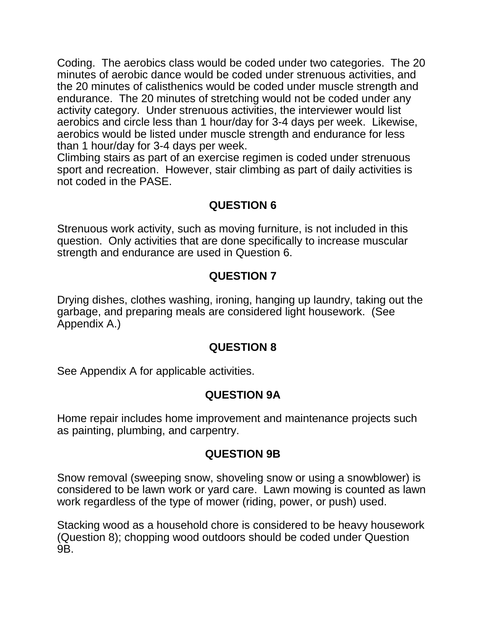Coding. The aerobics class would be coded under two categories. The 20 minutes of aerobic dance would be coded under strenuous activities, and the 20 minutes of calisthenics would be coded under muscle strength and endurance. The 20 minutes of stretching would not be coded under any activity category. Under strenuous activities, the interviewer would list aerobics and circle less than 1 hour/day for 3-4 days per week. Likewise, aerobics would be listed under muscle strength and endurance for less than 1 hour/day for 3-4 days per week.

Climbing stairs as part of an exercise regimen is coded under strenuous sport and recreation. However, stair climbing as part of daily activities is not coded in the PASE.

# **QUESTION 6**

Strenuous work activity, such as moving furniture, is not included in this question. Only activities that are done specifically to increase muscular strength and endurance are used in Question 6.

# **QUESTION 7**

Drying dishes, clothes washing, ironing, hanging up laundry, taking out the garbage, and preparing meals are considered light housework. (See Appendix A.)

# **QUESTION 8**

See Appendix A for applicable activities.

# **QUESTION 9A**

Home repair includes home improvement and maintenance projects such as painting, plumbing, and carpentry.

# **QUESTION 9B**

Snow removal (sweeping snow, shoveling snow or using a snowblower) is considered to be lawn work or yard care. Lawn mowing is counted as lawn work regardless of the type of mower (riding, power, or push) used.

Stacking wood as a household chore is considered to be heavy housework (Question 8); chopping wood outdoors should be coded under Question 9B.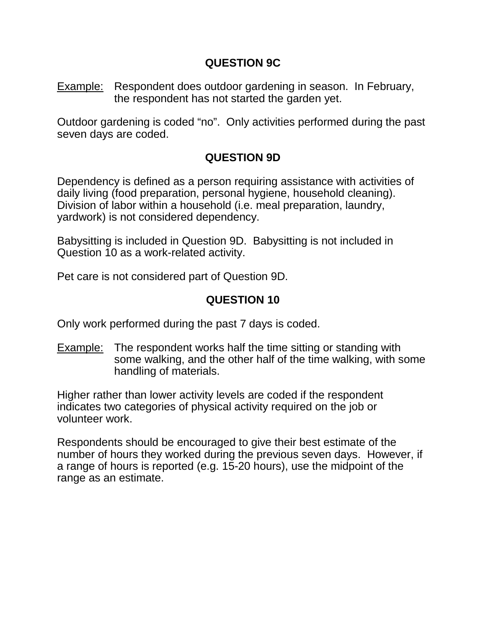# **QUESTION 9C**

Example: Respondent does outdoor gardening in season. In February, the respondent has not started the garden yet.

Outdoor gardening is coded "no". Only activities performed during the past seven days are coded.

# **QUESTION 9D**

Dependency is defined as a person requiring assistance with activities of daily living (food preparation, personal hygiene, household cleaning). Division of labor within a household (i.e. meal preparation, laundry, yardwork) is not considered dependency.

Babysitting is included in Question 9D. Babysitting is not included in Question 10 as a work-related activity.

Pet care is not considered part of Question 9D.

# **QUESTION 10**

Only work performed during the past 7 days is coded.

**Example:** The respondent works half the time sitting or standing with some walking, and the other half of the time walking, with some handling of materials.

Higher rather than lower activity levels are coded if the respondent indicates two categories of physical activity required on the job or volunteer work.

Respondents should be encouraged to give their best estimate of the number of hours they worked during the previous seven days. However, if a range of hours is reported (e.g. 15-20 hours), use the midpoint of the range as an estimate.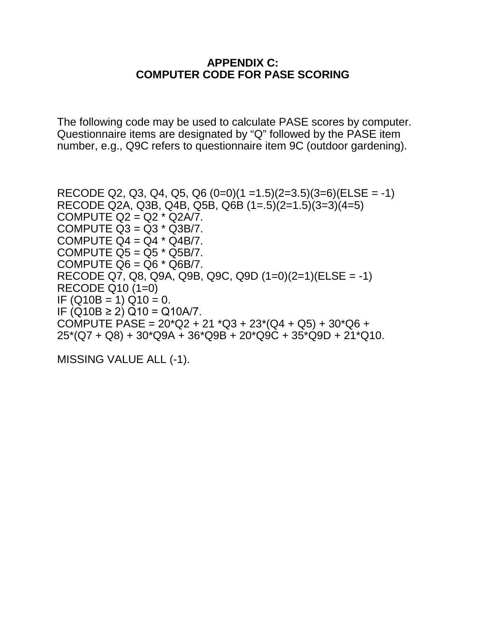### **APPENDIX C: COMPUTER CODE FOR PASE SCORING**

The following code may be used to calculate PASE scores by computer. Questionnaire items are designated by "Q" followed by the PASE item number, e.g., Q9C refers to questionnaire item 9C (outdoor gardening).

RECODE Q2, Q3, Q4, Q5, Q6  $(0=0)(1=1.5)(2=3.5)(3=6)(ELSE = -1)$ RECODE Q2A, Q3B, Q4B, Q5B, Q6B (1=.5)(2=1.5)(3=3)(4=5) COMPUTE  $Q2 = Q2 * Q2A/7$ . COMPUTE  $Q3 = Q3 * Q3B/Z$ . COMPUTE  $Q4 = Q4 * Q4B/7$ . COMPUTE  $Q5 = Q5 * Q5B/Z$ . COMPUTE  $Q6 = Q6 * Q6B/Z$ . RECODE Q7, Q8, Q9A, Q9B, Q9C, Q9D (1=0)(2=1)(ELSE = -1) RECODE Q10 (1=0) IF  $(Q10B = 1)$   $Q10 = 0$ . IF  $(Q10B ≥ 2)$  Q10 = Q10A/7. COMPUTE PASE =  $20*Q2 + 21*Q3 + 23*(Q4 + Q5) + 30*Q6 +$ 25\*(Q7 + Q8) + 30\*Q9A + 36\*Q9B + 20\*Q9C + 35\*Q9D + 21\*Q10.

MISSING VALUE ALL (-1).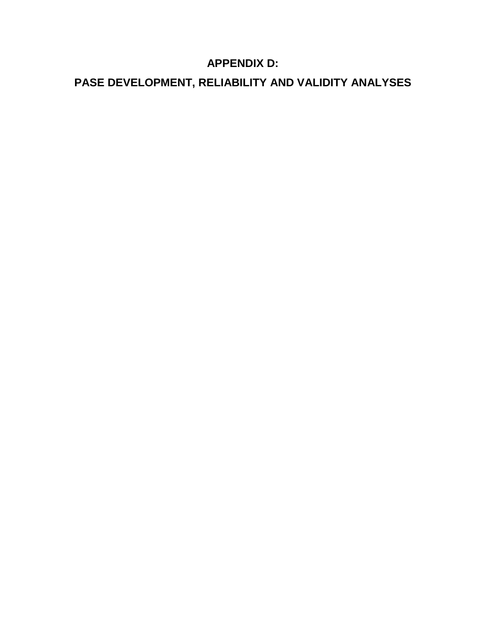# **APPENDIX D:**

# **PASE DEVELOPMENT, RELIABILITY AND VALIDITY ANALYSES**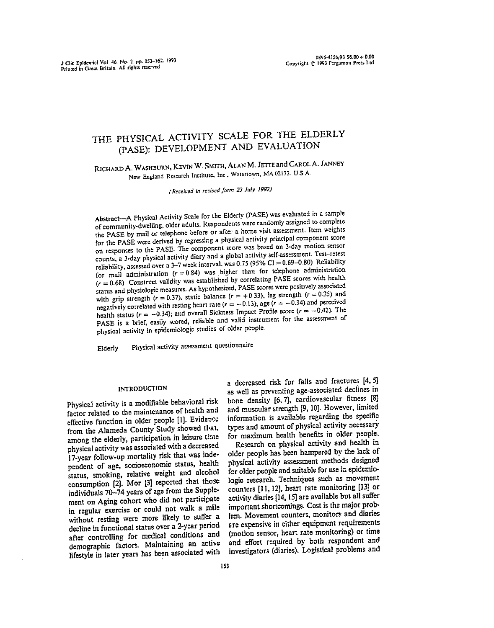# THE PHYSICAL ACTIVITY SCALE FOR THE ELDERLY (PASE): DEVELOPMENT AND EVALUATION

### RICHARD A. WASHBURN, KEVIN W. SMITH, ALAN M. JETTE and CAROL A. JANNEY New England Research Institute, Inc., Watertown, MA 02172. U.S.A.

(Received in revised form 23 July 1992)

Abstract-A Physical Activity Scale for the Elderly (PASE) was evaluated in a sample of community-dwelling, older adults. Respondents were randomly assigned to complete the PASE by mail or telephone before or after a home visit assessment. Item weights for the PASE were derived by regressing a physical activity principal component score on responses to the PASE. The component score was based on 3-day motion sensor counts, a 3-day physical activity diary and a global activity self-assessment. Test-retest reliability, assessed over a 3-7 week interval. was 0.75 (95%  $CI = 0.69 - 0.80$ ). Reliability for mail administration  $(r = 0.84)$  was higher than for telephone administration  $(r = 0.68)$ . Construct validity was established by correlating PASE scores with health status and physiologic measures. As hypothesized, PASE scores were positively associated with grip strength  $(r = 0.37)$ , static balance  $(r = +0.33)$ , leg strength  $(r = 0.25)$  and negatively correlated with resting heart rate ( $r = -0.13$ ), age ( $r = -0.34$ ) and perceived health status ( $r = -0.34$ ); and overall Sickness Impact Profile score ( $r = -0.42$ ). The PASE is a brief, easily scored, reliable and valid instrument for the assessment of physical activity in epidemiologic studies of older people.

Physical activity assessment questionnaire Elderly

#### **INTRODUCTION**

Physical activity is a modifiable behavioral risk factor related to the maintenance of health and effective function in older people [1]. Evidence from the Alameda County Study showed that, among the elderly, participation in leisure time physical activity was associated with a decreased 17-year follow-up mortality risk that was independent of age, socioeconomic status, health status, smoking, relative weight and alcohol consumption [2]. Mor [3] reported that those individuals 70-74 years of age from the Supplement on Aging cohort who did not participate in regular exercise or could not walk a mile without resting were more likely to suffer a decline in functional status over a 2-year period after controlling for medical conditions and demographic factors. Maintaining an active lifestyle in later years has been associated with a decreased risk for falls and fractures [4, 5] as well as preventing age-associated declines in bone density [6, 7], cardiovascular fitness [8] and muscular strength [9, 10]. However, limited information is available regarding the specific types and amount of physical activity necessary for maximum health benefits in older people.

Research on physical activity and health in older people has been hampered by the lack of physical activity assessment methods designed for older people and suitable for use in epidemiologic research. Techniques such as movement counters [11, 12], heart rate monitoring [13] or activity diaries [14, 15] are available but all suffer important shortcomings. Cost is the major problem. Movement counters, monitors and diaries are expensive in either equipment requirements (motion sensor, heart rate monitoring) or time and effort required by both respondent and investigators (diaries). Logistical problems and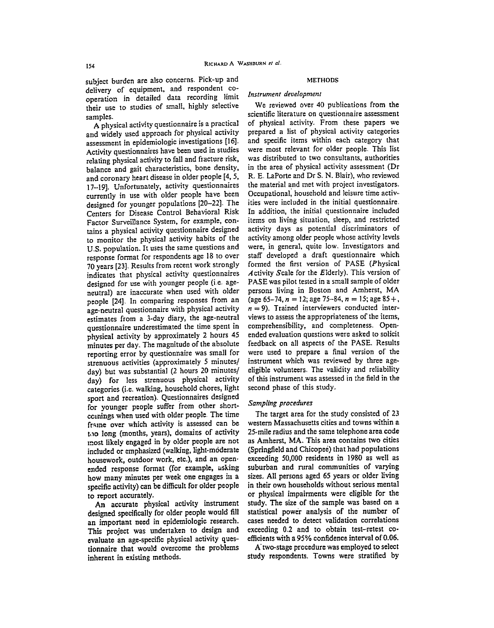subject burden are also concerns. Pick-up and delivery of equipment, and respondent cooperation in detailed data recording limit their use to studies of small, highly selective samples.

A physical activity questionnaire is a practical and widely used approach for physical activity assessment in epidemiologic investigations [16]. Activity questionnaires have been used in studies relating physical activity to fall and fracture risk. balance and gait characteristics, bone density, and coronary heart disease in older people [4, 5, 17-19]. Unfortunately, activity questionnaires currently in use with older people have been designed for younger populations [20-22]. The Centers for Disease Control Behavioral Risk Factor Surveillance System, for example, contains a physical activity questionnaire designed to monitor the physical activity habits of the U.S. population. It uses the same questions and response format for respondents age 18 to over 70 years [23]. Results from recent work strongly indicates that physical activity questionnaires designed for use with younger people (i.e. ageneutral) are inaccurate when used with older people [24]. In comparing responses from an age-neutral questionnaire with physical activity estimates from a 3-day diary, the age-neutral questionnaire underestimated the time spent in physical activity by approximately 2 hours 45 minutes per day. The magnitude of the absolute reporting error by questionnaire was small for strenuous activities (approximately 5 minutes/ day) but was substantial (2 hours 20 minutes/ day) for less strenuous physical activity categories (i.e. walking, household chores, light sport and recreation). Questionnaires designed for younger people suffer from other shortcomings when used with older people. The time frame over which activity is assessed can be too long (months, years), domains of activity most likely engaged in by older people are not included or emphasized (walking, light-moderate housework, outdoor work, etc.), and an openended response format (for example, asking how many minutes per week one engages in a specific activity) can be difficult for older people to report accurately.

An accurate physical activity instrument designed specifically for older people would fill an important need in epidemiologic research. This project was undertaken to design and evaluate an age-specific physical activity questionnaire that would overcome the problems inherent in existing methods.

#### **METHODS**

#### Instrument development

We reviewed over 40 publications from the scientific literature on questionnaire assessment of physical activity. From these papers we prepared a list of physical activity categories and specific items within each category that were most relevant for older people. This list was distributed to two consultants, authorities in the area of physical activity assessment (Dr R. E. LaPorte and Dr S. N. Blair), who reviewed the material and met with project investigators. Occupational, household and leisure time activities were included in the initial questionnaire. In addition, the initial questionnaire included items on living situation, sleep, and restricted activity days as potential discriminators of activity among older people whose activity levels were, in general, quite low. Investigators and staff developed a draft questionnaire which formed the first version of PASE (Physical Activity Scale for the Elderly). This version of PASE was pilot tested in a small sample of older persons living in Boston and Amherst, MA (age 65–74,  $n = 12$ ; age 75–84,  $n = 15$ ; age 85+,  $n = 9$ ). Trained interviewers conducted interviews to assess the appropriateness of the items, comprehensibility, and completeness. Openended evaluation questions were asked to solicit feedback on all aspects of the PASE. Results were used to prepare a final version of the instrument which was reviewed by three ageeligible volunteers. The validity and reliability of this instrument was assessed in the field in the second phase of this study.

#### Sampling procedures

The target area for the study consisted of 23 western Massachusetts cities and towns within a 25-mile radius and the same telephone area code as Amherst, MA. This area contains two cities (Springfield and Chicopee) that had populations exceeding 50,000 residents in 1980 as well as suburban and rural communities of varying sizes. All persons aged 65 years or older living in their own households without serious mental or physical impairments were eligible for the study. The size of the sample was based on a statistical power analysis of the number of cases needed to detect validation correlations exceeding 0.2 and to obtain test-retest coefficients with a 95% confidence interval of 0.06.

A two-stage procedure was employed to select study respondents. Towns were stratified by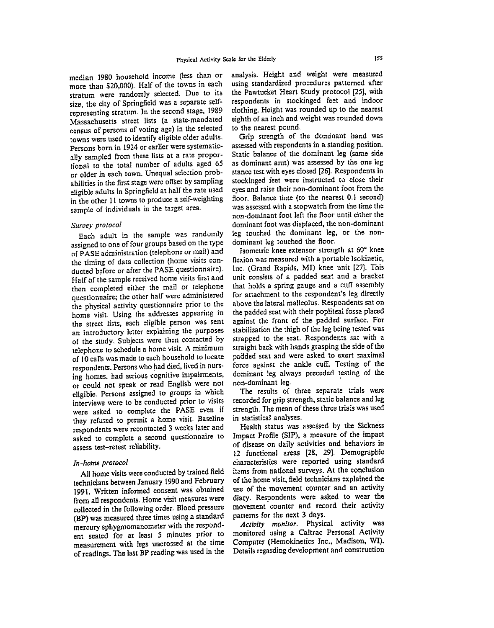median 1980 household income (less than or more than \$20,000). Half of the towns in each stratum were randomly selected. Due to its size, the city of Springfield was a separate selfrepresenting stratum. In the second stage, 1989 Massachusetts street lists (a state-mandated census of persons of voting age) in the selected towns were used to identify eligible older adults. Persons born in 1924 or earlier were systematically sampled from these lists at a rate proportional to the total number of adults aged 65 or older in each town. Unequal selection probabilities in the first stage were offset by sampling eligible adults in Springfield at half the rate used in the other 11 towns to produce a self-weighting sample of individuals in the target area.

#### Survey protocol

Each adult in the sample was randomly assigned to one of four groups based on the type of PASE administration (telephone or mail) and the timing of data collection (home visits conducted before or after the PASE questionnaire). Half of the sample received home visits first and then completed either the mail or telephone questionnaire; the other half were administered the physical activity questionnaire prior to the home visit. Using the addresses appearing in the street lists, each eligible person was sent an introductory letter explaining the purposes of the study. Subjects were then contacted by telephone to schedule a home visit. A minimum of 10 calls was made to each household to locate respondents. Persons who had died, lived in nursing homes, had serious cognitive impairments, or could not speak or read English were not eligible. Persons assigned to groups in which interviews were to be conducted prior to visits were asked to complete the PASE even if they refused to permit a home visit. Baseline respondents were recontacted 3 weeks later and asked to complete a second questionnaire to assess test-retest reliability.

#### In-home protocol

All home visits were conducted by trained field technicians between January 1990 and February 1991. Written informed consent was obtained from all respondents. Home visit measures were collected in the following order. Blood pressure (BP) was measured three times using a standard mercury sphygmomanometer with the respondent seated for at least 5 minutes prior to measurement with legs uncrossed at the time of readings. The last BP reading was used in the

analysis. Height and weight were measured using standardized procedures patterned after the Pawtucket Heart Study protocol [25], with respondents in stockinged feet and indoor clothing. Height was rounded up to the nearest eighth of an inch and weight was rounded down to the nearest pound.

Grip strength of the dominant hand was assessed with respondents in a standing position. Static balance of the dominant leg (same side as dominant arm) was assessed by the one leg stance test with eyes closed [26]. Respondents in stockinged feet were instructed to close their eyes and raise their non-dominant foot from the floor. Balance time (to the nearest 0.1 second) was assessed with a stopwatch from the time the non-dominant foot left the floor until either the dominant foot was displaced, the non-dominant leg touched the dominant leg, or the nondominant leg touched the floor.

Isometric knee extensor strength at 60° knee flexion was measured with a portable Isokinetic, Inc. (Grand Rapids, MI) knee unit [27]. This unit consists of a padded seat and a bracket that holds a spring gauge and a cuff assembly for attachment to the respondent's leg directly above the lateral malleolus. Respondents sat on the padded seat with their popliteal fossa placed against the front of the padded surface. For stabilization the thigh of the leg being tested was strapped to the seat. Respondents sat with a straight back with hands grasping the side of the padded seat and were asked to exert maximal force against the ankle cuff. Testing of the dominant leg always preceded testing of the non-dominant leg.

The results of three separate trials were recorded for grip strength, static balance and leg strength. The mean of these three trials was used in statistical analyses.

Health status was assessed by the Sickness Impact Profile (SIP), a measure of the impact of disease on daily activities and behaviors in 12 functional areas [28, 29]. Demographic characteristics were reported using standard items from national surveys. At the conclusion of the home visit, field technicians explained the use of the movement counter and an activity diary. Respondents were asked to wear the movement counter and record their activity patterns for the next 3 days.

Activity monitor. Physical activity was monitored using a Caltrac Personal Activity Computer (Hemokinetics Inc., Madison, WI). Details regarding development and construction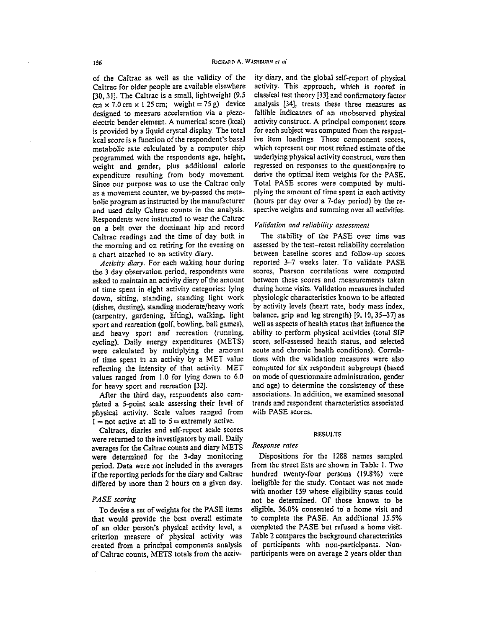of the Caltrac as well as the validity of the Caltrac for older people are available elsewhere [30, 31]. The Caltrac is a small, lightweight (9.5)  $cm \times 7.0$  cm  $\times$  1.25 cm; weight = 75 g) device designed to measure acceleration via a piezoelectric bender element. A numerical score (kcal) is provided by a liquid crystal display. The total kcal score is a function of the respondent's basal metabolic rate calculated by a computer chip programmed with the respondents age, height, weight and gender, plus additional caloric expenditure resulting from body movement. Since our purpose was to use the Caltrac only as a movement counter, we by-passed the metabolic program as instructed by the manufacturer and used daily Caltrac counts in the analysis. Respondents were instructed to wear the Caltrac on a belt over the dominant hip and record Caltrac readings and the time of day both in the morning and on retiring for the evening on a chart attached to an activity diary.

Activity diary. For each waking hour during the 3 day observation period, respondents were asked to maintain an activity diary of the amount of time spent in eight activity categories: lying down, sitting, standing, standing light work (dishes, dusting), standing moderate/heavy work (carpentry, gardening, lifting), walking, light sport and recreation (golf, bowling, ball games), and heavy sport and recreation (running, cycling). Daily energy expenditures (METS) were calculated by multiplying the amount of time spent in an activity by a MET value reflecting the intensity of that activity. MET values ranged from 1.0 for lying down to 6.0 for heavy sport and recreation [32].

After the third day, respondents also completed a 5-point scale assessing their level of physical activity. Scale values ranged from  $I = not active at all to 5 = extremely active.$ 

Caltracs, diaries and self-report scale scores were returned to the investigators by mail. Daily averages for the Caltrac counts and diary METS were determined for the 3-day monitoring period. Data were not included in the averages if the reporting periods for the diary and Caltrac differed by more than 2 hours on a given day.

#### PASE scoring

To devise a set of weights for the PASE items that would provide the best overall estimate of an older person's physical activity level, a criterion measure of physical activity was created from a principal components analysis of Caltrac counts, METS totals from the activ-

ity diary, and the global self-report of physical activity. This approach, which is rooted in classical test theory [33] and confirmatory factor analysis [34], treats these three measures as fallible indicators of an unobserved physical activity construct. A principal component score for each subject was computed from the respective item loadings. These component scores, which represent our most refined estimate of the underlying physical activity construct, were then regressed on responses to the questionnaire to derive the optimal item weights for the PASE. Total PASE scores were computed by multiplying the amount of time spent in each activity (hours per day over a 7-day period) by the respective weights and summing over all activities.

#### Validation and reliability assessment

The stability of the PASE over time was assessed by the test-retest reliability correlation between baseline scores and follow-up scores reported 3-7 weeks later. To validate PASE scores, Pearson correlations were computed between these scores and measurements taken during home visits. Validation measures included physiologic characteristics known to be affected by activity levels (heart rate, body mass index, balance, grip and leg strength) [9, 10, 35-37] as well as aspects of health status that influence the ability to perform physical activities (total SIP score, self-assessed health status, and selected acute and chronic health conditions). Correlations with the validation measures were also computed for six respondent subgroups (based on mode of questionnaire administration, gender and age) to determine the consistency of these associations. In addition, we examined seasonal trends and respondent characteristics associated with PASE scores.

#### **RESULTS**

#### Response rates

Dispositions for the 1288 names sampled from the street lists are shown in Table 1. Two hundred twenty-four persons (19.8%) were ineligible for the study. Contact was not made with another 159 whose eligibility status could not be determined. Of those known to be eligible, 36.0% consented to a home visit and to complete the PASE. An additional 15.5% completed the PASE but refused a home visit. Table 2 compares the background characteristics of participants with non-participants. Nonparticipants were on average 2 years older than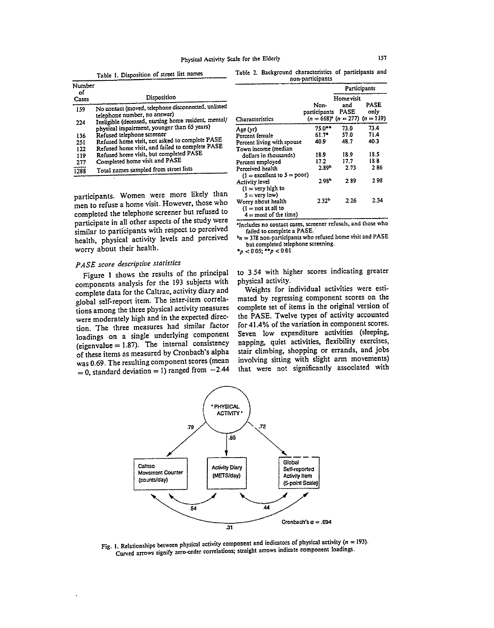|              |                                                                                                                                             |                                                                  | non-participants                                            |              |            |
|--------------|---------------------------------------------------------------------------------------------------------------------------------------------|------------------------------------------------------------------|-------------------------------------------------------------|--------------|------------|
| Number<br>оſ |                                                                                                                                             |                                                                  |                                                             | Participants |            |
| Cases        | Disposition                                                                                                                                 |                                                                  |                                                             | Homevisit    |            |
| 159          | No contact (moved, telephone disconnected, unlisted<br>telephone number, no answer)<br>Incligible (deceased, nursing home resident, mental/ | Characteristics                                                  | Non-<br>participants<br>$(n = 668)^n$ $(n = 277)$ $(n = 1)$ | and<br>PASE  | PA:<br>onl |
| 224          | physical impairment, younger than 65 years)                                                                                                 | Are (yr)                                                         | $75.0***$                                                   | 73.0         | 73.        |
| 136          | Refused telephone screener                                                                                                                  | Percent female                                                   | $61.7^{\circ}$                                              | 57.0         | 71.        |
| 251          | Refused home visit, not asked to complete PASE                                                                                              | Percent living with spouse                                       | 409                                                         | 48.7         | 40.        |
| 122          | Refused home visit, and failed to complete PASE                                                                                             | Town income (median                                              |                                                             |              |            |
| 119          | Refused home visit, but completed PASE                                                                                                      | dollars in thousands)                                            | 189                                                         | 18.9         | 18.        |
| 277          | Completed home visit and PASE                                                                                                               | Percent employed                                                 | 17.2                                                        | 17.7         | 18         |
| 1288         | Total names sampled from street lists                                                                                                       | Perceived health<br>$(1 = \text{excellent to } 5 = \text{poor})$ | 2.89"                                                       | 2.73         | 2          |
|              |                                                                                                                                             | Activity level<br>$(1 = \text{very high to})$                    | $2.98^{\circ}$                                              | 2.89         | 2          |

ble 1. Disposition of street list names

Table 2. Background characteristics of participants and

participants. Women were more likely than men to refuse a home visit. However, those who completed the telephone screener but refused to participate in all other aspects of the study were similar to participants with respect to perceived health, physical activity levels and perceived worry about their health.

#### PASE score descriptive statistics

Figure 1 shows the results of the principal components analysis for the 193 subjects with complete data for the Caltrac, activity diary and global self-report item. The inter-item correlations among the three physical activity measures were moderately high and in the expected direction. The three measures had similar factor loadings on a single underlying component (eigenvalue =  $1.87$ ). The internal consistency of these items as measured by Cronbach's alpha was 0.69. The resulting component scores (mean  $= 0$ , standard deviation = 1) ranged from  $-2.44$ 

\*Includes no contact cases, screener refusals, and those who failed to complete a PASE.

 $2.32<sup>b</sup>$ 

= 378 non-participants who refused home visit and PASE  $\mathbf{p}_n$ but completed telephone screening.<br>  $\frac{1}{p} < 0.05$ ;  $\frac{p}{p} < 0.01$ .

 $4 = most of the time)$ 

 $5 = \text{very low}$ 

Worry about health  $(l = not at all to$ 

to 3.54 with higher scores indicating greater physical activity.

Weights for individual activities were estimated by regressing component scores on the complete set of items in the original version of the PASE. Twelve types of activity accounted for 41.4% of the variation in component scores. Seven low expenditure activities (sleeping, napping, quiet activities, flexibility exercises, stair climbing, shopping or errands, and jobs involving sitting with slight arm movements) that were not significantly associated with



Fig. 1. Relationships between physical activity component and indicators of physical activity ( $n = 193$ ). Curved arrows signify zero-order correlations; straight arrows indicate component loadings.

PASE

only  $(n = 119)$ 

73.4

71.4

40.3

18.5 18.8

2.86

298

2.34

2.26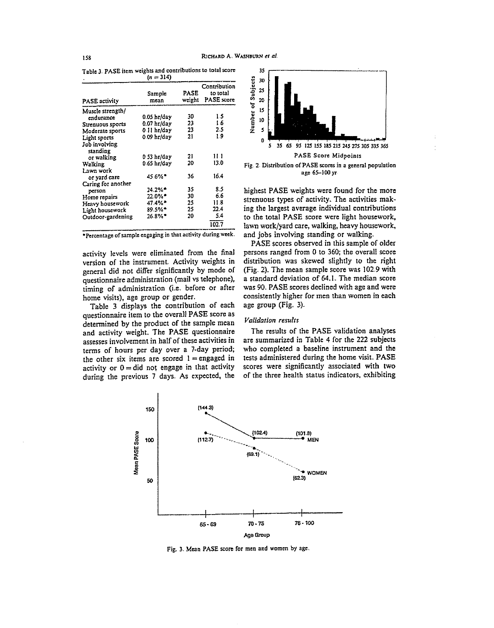Table 3. PASE item weights and contributions to total score  $(1 - 314)$ 

|                           | (* – * * * <i>)</i> |                |                                        |
|---------------------------|---------------------|----------------|----------------------------------------|
| PASE activity             | Sample<br>mean      | PASE<br>weight | Contribution<br>to total<br>PASE score |
| Muscle strength/          |                     |                |                                        |
| endurance                 | 0.05 hr/day         | 30             | 15                                     |
| Strenuous sports          | 0.07 hr/day         | 23             | 16                                     |
| Moderate sports           | $0.11$ hr/day       | 23             | 2.5                                    |
| Light sports              | 0.09 hr/day         | 21             | 19                                     |
| Job involving<br>standing |                     |                |                                        |
| or walking                | 0 53 hr/day         | 21             | 11-1                                   |
| Walking                   | 0.65 hr/day         | 20             | 13.0                                   |
| Lawn work                 |                     |                |                                        |
| or yard care              | 45.6%*              | 36             | 16.4                                   |
| Caring for another        |                     |                |                                        |
| person                    | $24.2\%$            | 35             | 8.5                                    |
| Home repairs              | 22.0%"              | 30             | 6.6                                    |
| Heavy housework           | 47.4%               | 25             | 11.8                                   |
| Light housework           | $89.5\%$            | 25             | 22.4                                   |
| Outdoor-gardening         | $26.8\%$            | 20             | 5.4                                    |
|                           |                     |                | 102.7                                  |



highest PASE weights were found for the more strenuous types of activity. The activities making the largest average individual contributions to the total PASE score were light housework, lawn work/yard care, walking, heavy housework, and jobs involving standing or walking.

activity levels were eliminated from the final version of the instrument. Activity weights in general did not differ significantly by mode of questionnaire administration (mail vs telephone), timing of administration (i.e. before or after home visits), age group or gender.

\*Percentage of sample engaging in that activity during week.

Table 3 displays the contribution of each questionnaire item to the overall PASE score as determined by the product of the sample mean and activity weight. The PASE questionnaire assesses involvement in half of these activities in terms of hours per day over a 7-day period; the other six items are scored  $l =$  engaged in activity or  $0 = did$  not engage in that activity during the previous 7 days. As expected, the

PASE scores observed in this sample of older persons ranged from 0 to 360; the overall score distribution was skewed slightly to the right (Fig. 2). The mean sample score was 102.9 with a standard deviation of 64.1. The median score was 90. PASE scores declined with age and were consistently higher for men than women in each age group (Fig. 3).

#### Validation results

The results of the PASE validation analyses are summarized in Table 4 for the 222 subjects who completed a baseline instrument and the tests administered during the home visit. PASE scores were significantly associated with two of the three health status indicators, exhibiting



Fig. 3. Mean PASE score for men and women by age.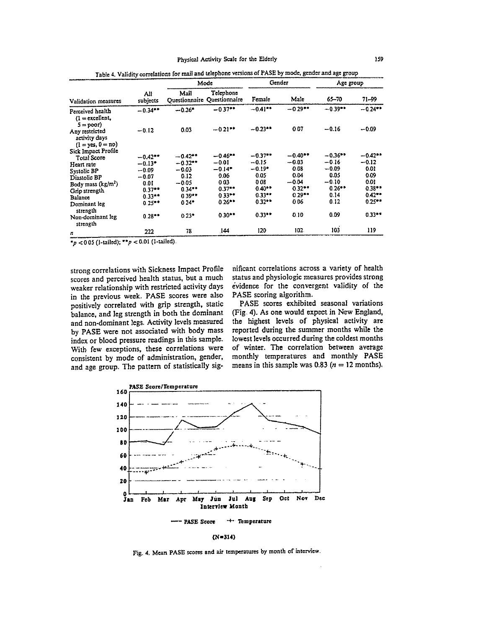|                                                                      |                      |                      | Mode                                     |                       | Gender                | Age group  |            |
|----------------------------------------------------------------------|----------------------|----------------------|------------------------------------------|-----------------------|-----------------------|------------|------------|
| Validation measures                                                  | Ali<br>subjects      | Maîl                 | Telephone<br>Questionnaire Questionnaire | Female                | Male                  | $65 - 70$  | 71-99      |
| Perceived health<br>$(1 = excellent,$                                | $-0.34***$           | $-0.26$ <sup>*</sup> | $-0.37**$                                | $-0.41$ <sup>**</sup> | $-0.29**$             | $-0.39$ ** | $-0.24$    |
| $5 = poor$<br>Any restricted<br>activity days<br>$(1 = yes, 0 = no)$ | $-0.12$              | 0.03                 | $-0.21**$                                | $-0.23$ **            | 0.07                  | $-0.16$    | $-0.09$    |
| Sick Impact Profile                                                  |                      |                      |                                          |                       |                       |            |            |
| <b>Total Score</b>                                                   | $-0.42**$            | $-0.42**$            | $-0.46***$                               | $-0.37$ **            | $-0.40$ <sup>99</sup> | $-0.36$ ** | $-0.42$ ** |
| Heart rate                                                           | $-0.13$ <sup>*</sup> | $-0.32**$            | $-0.01$                                  | $-0.15$               | $-0.03$               | --0.16     | $-0.12$    |
| Systolic BP                                                          | $-0.09$              | $-0.03$              | $-0.14$ <sup>*</sup>                     | $-0.19^{\circ}$       | 0.08                  | $-0.09$    | 0.01       |
| Diastolic BP                                                         | $-0.07$              | 0.12                 | 0.06                                     | 0.05                  | 0.04                  | 0.05       | 0.09       |
| Body mass (kg/m <sup>2</sup> )                                       | 0.01                 | $-0.05$              | 0.03                                     | 0.08                  | $-0.04$               | $-0.10$    | 0.01       |
| Grip strength                                                        | $0.37***$            | 0.34                 | 0.37                                     | $0.40**$              | $0.32***$             | $0.26***$  | 0.38       |
| Balance                                                              | $0.33**$             | $0.39 -$             | $0.33**$                                 | $0.33***$             | $0.29 -$              | 0.14       | $0.42***$  |
| Dominant leg<br>strength                                             | 0.25                 | $0.24 -$             | $0.26***$                                | 0.32                  | 0.06                  | 0.12       | $0.25***$  |
| Non-dominant leg<br>strength                                         | 0.28                 | $0.23 -$             | $0.30**$                                 | $0.33**$              | 0.10                  | 0.09       | 0.33       |
| n                                                                    | 222                  | 78                   | 144                                      | 120                   | 102                   | 103        | 119        |

Table 4. Validity correlations for mail and telephone versions of PASE by mode, gender and age group

\*p < 0.05 (1-tailed); \*\*p < 0.01 (1-tailed).

strong correlations with Sickness Impact Profile scores and perceived health status, but a much weaker relationship with restricted activity days in the previous week. PASE scores were also positively correlated with grip strength, static balance, and leg strength in both the dominant and non-dominant legs. Activity levels measured by PASE were not associated with body mass index or blood pressure readings in this sample. With few exceptions, these correlations were consistent by mode of administration, gender, and age group. The pattern of statistically significant correlations across a variety of health status and physiologic measures provides strong evidence for the convergent validity of the PASE scoring algorithm.

PASE scores exhibited seasonal variations (Fig. 4). As one would expect in New England, the highest levels of physical activity are reported during the summer months while the lowest levels occurred during the coldest months of winter. The correlation between average monthly temperatures and monthly PASE means in this sample was 0.83 ( $n = 12$  months).



 $(N = 314)$ 

Fig. 4. Mean PASE scores and air temperatures by month of interview.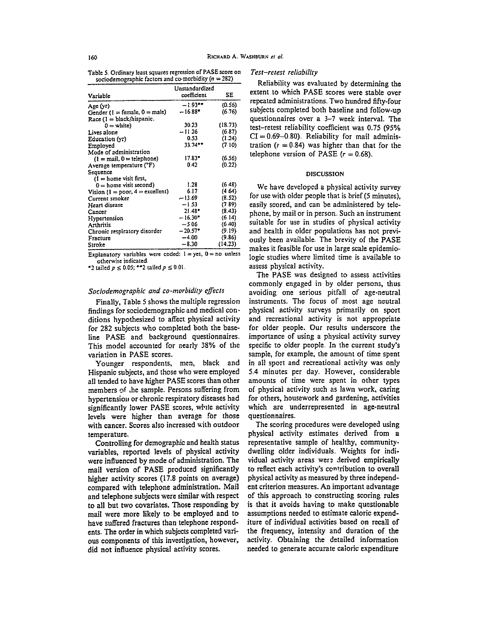|  |  | Table 5. Ordinary least squares regression of PASE score on |  |  |
|--|--|-------------------------------------------------------------|--|--|
|  |  | sociodemographic factors and co-morbidity $(n = 282)$       |  |  |

|                                    | Unstandardized   |         |
|------------------------------------|------------------|---------|
| Variable                           | coefficient      | SE      |
| Age (yr)                           | $-1.93$          | (0.56)  |
| Gender $(l = female, 0 = male)$    | $-16.88^*$       | (6.76)  |
| Race (1 = black/hispanic.          |                  |         |
| $0 = \text{white}$                 | 30.23            | (18.73) |
| Lives alone                        | - 11.26          | (6.87)  |
| Education (yr)                     | 0.53             | (1.24)  |
| Employed                           | 33.74            | (7.10)  |
| Mode of administration             |                  |         |
| $(1 = mail, 0 = telephone)$        | $17.83*$         | (6.56)  |
| Average temperature (°F)           | 0.42             | (0.22)  |
| Sequence                           |                  |         |
| $(1 = \text{home visit first},$    |                  |         |
| $0 = home$ visit second)           | 1.28             | (6.48)  |
| Vision $(1 = poor, 4 = excellent)$ | 6.17             | (4.64)  |
| Current smoker                     | -13.69           | (8.52)  |
| Heart disease                      | $-1.53$          | (7.89)  |
| Cancer                             | $21.48*$         | (8.43)  |
| Hypertension                       | $-16.30^{\circ}$ | (6.14)  |
| Arthritis                          | $-506$           | (6.40)  |
| Chronic respiratory disorder       | $-20.57$         | (9.19)  |
| Fracture                           | $-4.00$          | (9.86)  |
| Stroke                             | $-8.30$          | (14.23) |

Explanatory variables were coded:  $l = yes$ ,  $0 = no$  unless otherwise indicated.

\*2 tailed  $p \le 0.05$ ; \*\*2 tailed  $p \le 0.01$ .

#### Sociodemographic and co-morbidity effects

Finally, Table 5 shows the multiple regression findings for sociodemographic and medical conditions hypothesized to affect physical activity for 282 subjects who completed both the baseline PASE and background questionnaires. This model accounted for nearly 38% of the variation in PASE scores.

Younger respondents, men, black and Hispanic subjects, and those who were employed all tended to have higher PASE scores than other members of the sample. Persons suffering from hypertension or chronic respiratory diseases had significantly lower PASE scores, while activity levels were higher than average for those with cancer. Scores also increased with outdoor temperature.

Controlling for demographic and health status variables, reported levels of physical activity were influenced by mode of administration. The mail version of PASE produced significantly higher activity scores (17.8 points on average) compared with telephone administration. Mail and telephone subjects were similar with respect to all but two covariates. Those responding by mail were more likely to be employed and to have suffered fractures than telephone respondents. The order in which subjects completed various components of this investigation, however, did not influence physical activity scores.

#### Test-retest reliability

Reliability was evaluated by determining the extent to which PASE scores were stable over repeated administrations. Two hundred fifty-four subjects completed both baseline and follow-up questionnaires over a 3-7 week interval. The test-retest reliability coefficient was 0.75 (95%  $CI = 0.69 - 0.80$ . Reliability for mail administration  $(r = 0.84)$  was higher than that for the telephone version of PASE  $(r = 0.68)$ .

#### **DISCUSSION**

We have developed a physical activity survey for use with older people that is brief (5 minutes). easily scored, and can be administered by telephone, by mail or in person. Such an instrument suitable for use in studies of physical activity and health in older populations has not previously been available. The brevity of the PASE makes it feasible for use in large scale epidemiologic studies where limited time is available to assess physical activity.

The PASE was designed to assess activities commonly engaged in by older persons, thus avoiding one serious pitfall of age-neutral instruments. The focus of most age neutral physical activity surveys primarily on sport and recreational activity is not appropriate for older people. Our results underscore the importance of using a physical activity survey specific to older people. In the current study's sample, for example, the amount of time spent in all sport and recreational activity was only 5.4 minutes per day. However, considerable amounts of time were spent in other types of physical activity such as lawn work, caring for others, housework and gardening, activities which are underrepresented in age-neutral questionnaires.

The scoring procedures were developed using physical activity estimates derived from a representative sample of healthy, communitydwelling older individuals. Weights for individual activity areas were derived empirically to reflect each activity's contribution to overall physical activity as measured by three independent criterion measures. An important advantage of this approach to constructing scoring rules is that it avoids having to make questionable assumptions needed to estimate caloric expenditure of individual activities based on recall of the frequency, intensity and duration of the activity. Obtaining the detailed information needed to generate accurate caloric expenditure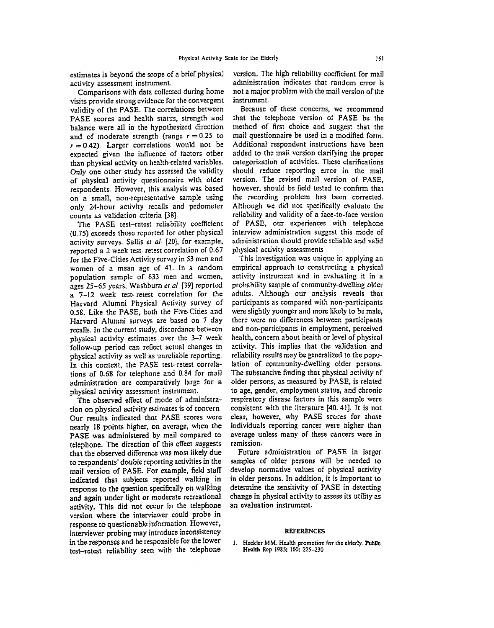estimates is beyond the scope of a brief physical activity assessment instrument.

Comparisons with data collected during home visits provide strong evidence for the convergent validity of the PASE. The correlations between PASE scores and health status, strength and balance were all in the hypothesized direction and of moderate strength (range  $r = 0.25$  to  $r = 0.42$ ). Larger correlations would not be expected given the influence of factors other than physical activity on health-related variables. Only one other study has assessed the validity of physical activity questionnaire with older respondents. However, this analysis was based on a small, non-representative sample using only 24-hour activity recalls and pedometer counts as validation criteria [38].

The PASE test-retest reliability coefficient (0.75) exceeds those reported for other physical activity surveys. Sallis et al. [20], for example, reported a 2 week test-retest correlation of 0.67 for the Five-Cities Activity survey in 53 men and women of a mean age of 41. In a random population sample of 633 men and women, ages 25-65 years, Washburn et al. [39] reported a 7-12 week test-retest correlation for the Harvard Alumni Physical Activity survey of 0.58. Like the PASE, both the Five-Cities and Harvard Alumni surveys are based on 7 day recalls. In the current study, discordance between physical activity estimates over the 3-7 week follow-up period can reflect actual changes in physical activity as well as unreliable reporting. In this context, the PASE test-retest correlations of 0.68 for telephone and 0.84 for mail administration are comparatively large for a physical activity assessment instrument.

The observed effect of mode of administration on physical activity estimates is of concern. Our results indicated that PASE scores were nearly 18 points higher, on average, when the PASE was administered by mail compared to telephone. The direction of this effect suggests that the observed difference was most likely due to respondents' double reporting activities in the mail version of PASE. For example, field staff indicated that subjects reported walking in response to the question specifically on walking and again under light or moderate recreational activity. This did not occur in the telephone version where the interviewer could probe in response to questionable information. However, interviewer probing may introduce inconsistency in the responses and be responsible for the lower test-retest reliability seen with the telephone

version. The high reliability coefficient for mail administration indicates that random error is not a major problem with the mail version of the instrument.

Because of these concerns, we recommend that the telephone version of PASE be the method of first choice and suggest that the mail questionnaire be used in a modified form. Additional respondent instructions have been added to the mail version clarifying the proper categorization of activities. These clarifications should reduce reporting error in the mail version. The revised mail version of PASE, however, should be field tested to confirm that the recording problem has been corrected. Although we did not specifically evaluate the reliability and validity of a face-to-face version of PASE, our experiences with telephone interview administration suggest this mode of administration should provide reliable and valid physical activity assessments.

This investigation was unique in applying an empirical approach to constructing a physical activity instrument and in evaluating it in a probability sample of community-dwelling older adults. Although our analysis reveals that participants as compared with non-participants were slightly younger and more likely to be male, there were no differences between participants and non-participants in employment, perceived health, concern about health or level of physical activity. This implies that the validation and reliability results may be generalized to the population of community-dwelling older persons. The substantive finding that physical activity of older persons, as measured by PASE, is related to age, gender, employment status, and chronic respiratory disease factors in this sample were consistent with the literature [40, 41]. It is not clear, however, why PASE scores for those individuals reporting cancer were nigher than average unless many of these cancers were in remission.

Future administration of PASE in larger samples of older persons will be needed to develop normative values of physical activity in older persons. In addition, it is important to determine the sensitivity of PASE in detecting change in physical activity to assess its utility as an evaluation instrument.

#### **REFERENCES**

1. Heckler MM. Health promotion for the elderly. Public Health Rep 1985; 100: 225-230.